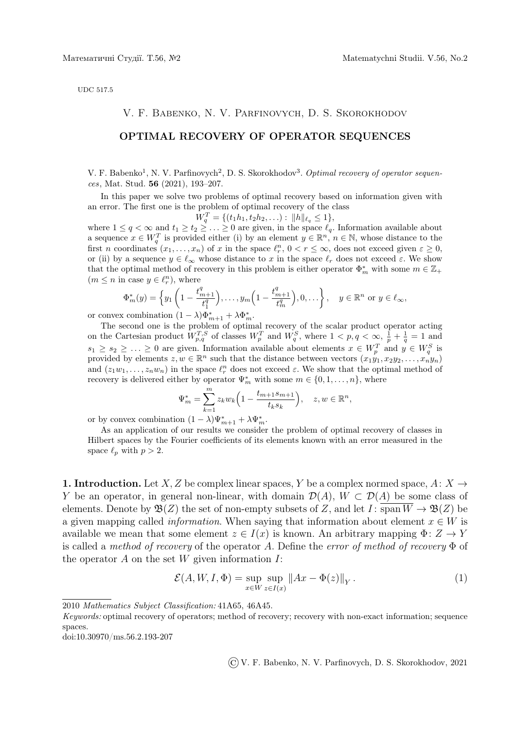UDC 517.5

#### V. F. Babenko, N. V. Parfinovych, D. S. Skorokhodov

## OPTIMAL RECOVERY OF OPERATOR SEQUENCES

V. F. Babenko<sup>1</sup>, N. V. Parfinovych<sup>2</sup>, D. S. Skorokhodov<sup>3</sup>. Optimal recovery of operator sequences, Mat. Stud. 56 (2021), 193–207.

In this paper we solve two problems of optimal recovery based on information given with an error. The first one is the problem of optimal recovery of the class

 $W_q^T = \{(t_1h_1, t_2h_2, \ldots) : ||h||_{\ell_q} \leq 1\},\$ 

where  $1 \le q < \infty$  and  $t_1 \ge t_2 \ge \ldots \ge 0$  are given, in the space  $\ell_q$ . Information available about a sequence  $x \in W_q^T$  is provided either (i) by an element  $y \in \mathbb{R}^n$ ,  $n \in \mathbb{N}$ , whose distance to the first n coordinates  $(x_1, \ldots, x_n)$  of x in the space  $\ell_r^n$ ,  $0 < r \leq \infty$ , does not exceed given  $\varepsilon \geq 0$ , or (ii) by a sequence  $y \in \ell_\infty$  whose distance to x in the space  $\ell_r$  does not exceed  $\varepsilon$ . We show that the optimal method of recovery in this problem is either operator  $\Phi_m^*$  with some  $m \in \mathbb{Z}_+$  $(m \leq n$  in case  $y \in \ell_r^n$ , where

$$
\Phi_m^*(y) = \left\{ y_1 \left( 1 - \frac{t_{m+1}^q}{t_1^q} \right), \dots, y_m \left( 1 - \frac{t_{m+1}^q}{t_m^q} \right), 0, \dots \right\}, \quad y \in \mathbb{R}^n \text{ or } y \in \ell_\infty,
$$

or convex combination  $(1 - \lambda)\Phi_{m+1}^* + \lambda \Phi_m^*$ .

The second one is the problem of optimal recovery of the scalar product operator acting on the Cartesian product  $W_{p,q}^{T,S}$  of classes  $W_p^T$  and  $W_q^S$ , where  $1 < p, q < \infty$ ,  $\frac{1}{p} + \frac{1}{q} = 1$  and  $s_1 \geq s_2 \geq \ldots \geq 0$  are given. Information available about elements  $x \in W_p^T$  and  $y \in W_q^S$  is provided by elements  $z, w \in \mathbb{R}^n$  such that the distance between vectors  $(x_1y_1, x_2y_2, \ldots, x_ny_n)$ and  $(z_1w_1, \ldots, z_nw_n)$  in the space  $\ell_r^n$  does not exceed  $\varepsilon$ . We show that the optimal method of recovery is delivered either by operator  $\Psi_m^*$  with some  $m \in \{0, 1, ..., n\}$ , where

$$
\Psi_m^* = \sum_{k=1}^m z_k w_k \left( 1 - \frac{t_{m+1} s_{m+1}}{t_k s_k} \right), \quad z, w \in \mathbb{R}^n,
$$

or by convex combination  $(1 - \lambda)\Psi_{m+1}^* + \lambda \Psi_m^*$ .

As an application of our results we consider the problem of optimal recovery of classes in Hilbert spaces by the Fourier coefficients of its elements known with an error measured in the space  $\ell_p$  with  $p > 2$ .

1. Introduction. Let X, Z be complex linear spaces, Y be a complex normed space, A:  $X \rightarrow$ Y be an operator, in general non-linear, with domain  $\mathcal{D}(A)$ ,  $W \subset \mathcal{D}(A)$  be some class of elements. Denote by  $\mathfrak{B}(Z)$  the set of non-empty subsets of Z, and let  $I: \overline{\text{span }W} \to \mathfrak{B}(Z)$  be a given mapping called *information*. When saying that information about element  $x \in W$  is available we mean that some element  $z \in I(x)$  is known. An arbitrary mapping  $\Phi: Z \to Y$ is called a method of recovery of the operator A. Define the error of method of recovery  $\Phi$  of the operator  $A$  on the set  $W$  given information  $I$ :

$$
\mathcal{E}(A, W, I, \Phi) = \sup_{x \in W} \sup_{z \in I(x)} \|Ax - \Phi(z)\|_{Y}.
$$
 (1)

doi:10.30970/ms.56.2.193-207

©V. F. Babenko, N. V. Parfinovych, D. S. Skorokhodov, 2021

<sup>2010</sup> Mathematics Subject Classification: 41A65, 46A45.

Keywords: optimal recovery of operators; method of recovery; recovery with non-exact information; sequence spaces.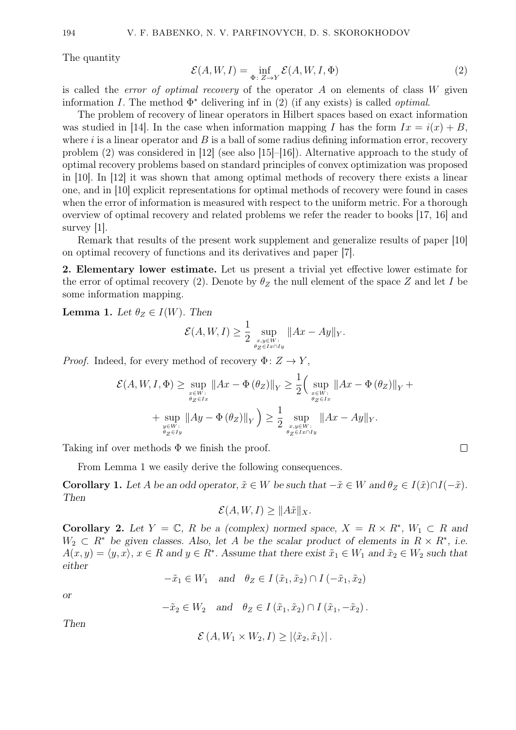The quantity

$$
\mathcal{E}(A, W, I) = \inf_{\Phi \colon Z \to Y} \mathcal{E}(A, W, I, \Phi)
$$
 (2)

is called the *error of optimal recovery* of the operator  $A$  on elements of class  $W$  given information I. The method  $\Phi^*$  delivering inf in (2) (if any exists) is called *optimal*.

The problem of recovery of linear operators in Hilbert spaces based on exact information was studied in [14]. In the case when information mapping I has the form  $Ix = i(x) + B$ , where  $i$  is a linear operator and  $B$  is a ball of some radius defining information error, recovery problem  $(2)$  was considered in [12] (see also [15]–[16]). Alternative approach to the study of optimal recovery problems based on standard principles of convex optimization was proposed in [10]. In [12] it was shown that among optimal methods of recovery there exists a linear one, and in [10] explicit representations for optimal methods of recovery were found in cases when the error of information is measured with respect to the uniform metric. For a thorough overview of optimal recovery and related problems we refer the reader to books [17, 16] and survey [1].

Remark that results of the present work supplement and generalize results of paper [10] on optimal recovery of functions and its derivatives and paper [7].

2. Elementary lower estimate. Let us present a trivial yet effective lower estimate for the error of optimal recovery (2). Denote by  $\theta_Z$  the null element of the space Z and let I be some information mapping.

**Lemma 1.** Let  $\theta_Z \in I(W)$ . Then

$$
\mathcal{E}(A, W, I) \ge \frac{1}{2} \sup_{\substack{x, y \in W:\\ \theta_Z \in Ix \cap Iy}} \|Ax - Ay\|_Y.
$$

*Proof.* Indeed, for every method of recovery  $\Phi: Z \to Y$ ,

$$
\mathcal{E}(A, W, I, \Phi) \ge \sup_{\substack{x \in W : \\ \theta_Z \in Ix}} \|Ax - \Phi(\theta_Z)\|_Y \ge \frac{1}{2} \Big(\sup_{\substack{x \in W : \\ \theta_Z \in Ix}} \|Ax - \Phi(\theta_Z)\|_Y + \sup_{\substack{x \in W : \\ \theta_Z \in Ix}} \|Ay - \Phi(\theta_Z)\|_Y\Big) \ge \frac{1}{2} \sup_{\substack{x, y \in W : \\ \theta_Z \in Ix \cap Iy}} \|Ax - Ay\|_Y.
$$

Taking inf over methods  $\Phi$  we finish the proof.

From Lemma 1 we easily derive the following consequences.

**Corollary 1.** Let A be an odd operator,  $\tilde{x} \in W$  be such that  $-\tilde{x} \in W$  and  $\theta_Z \in I(\tilde{x}) \cap I(-\tilde{x})$ . Then

 $\Box$ 

$$
\mathcal{E}(A, W, I) \ge ||A\tilde{x}||_X.
$$

Corollary 2. Let  $Y = \mathbb{C}$ , R be a (complex) normed space,  $X = R \times R^*$ ,  $W_1 \subset R$  and  $W_2 \subset R^*$  be given classes. Also, let A be the scalar product of elements in  $R \times R^*$ , i.e.  $A(x, y) = \langle y, x \rangle, x \in R$  and  $y \in R^*$ . Assume that there exist  $\tilde{x}_1 \in W_1$  and  $\tilde{x}_2 \in W_2$  such that either

 $-\tilde{x}_1 \in W_1$  and  $\theta_Z \in I(\tilde{x}_1, \tilde{x}_2) \cap I(-\tilde{x}_1, \tilde{x}_2)$ 

or

$$
-\tilde{x}_2 \in W_2 \quad \text{and} \quad \theta_Z \in I(\tilde{x}_1, \tilde{x}_2) \cap I(\tilde{x}_1, -\tilde{x}_2).
$$

Then

$$
\mathcal{E}(A, W_1 \times W_2, I) \geq |\langle \tilde{x}_2, \tilde{x}_1 \rangle|.
$$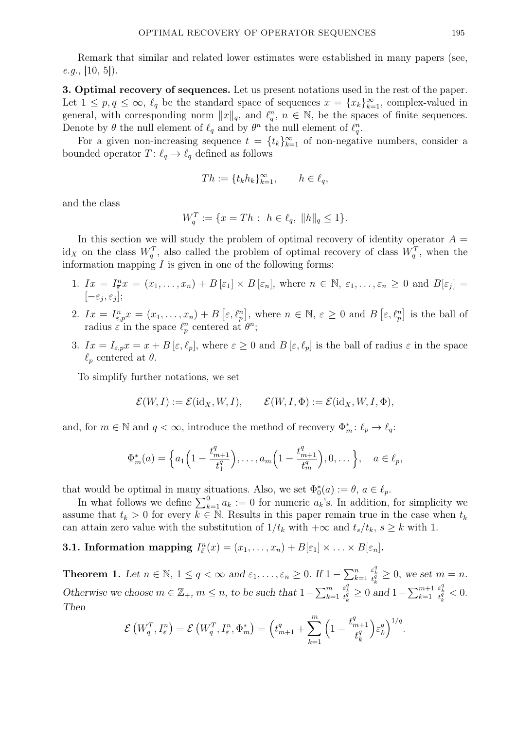Remark that similar and related lower estimates were established in many papers (see,  $e.g., [10, 5].$ 

3. Optimal recovery of sequences. Let us present notations used in the rest of the paper. Let  $1 \leq p, q \leq \infty$ ,  $\ell_q$  be the standard space of sequences  $x = \{x_k\}_{k=1}^{\infty}$ , complex-valued in general, with corresponding norm  $||x||_q$ , and  $\ell_q^n$ ,  $n \in \mathbb{N}$ , be the spaces of finite sequences. Denote by  $\theta$  the null element of  $\ell_q$  and by  $\theta^n$  the null element of  $\ell_q^n$ .

For a given non-increasing sequence  $t = \{t_k\}_{k=1}^{\infty}$  of non-negative numbers, consider a bounded operator  $T: \ell_q \to \ell_q$  defined as follows

$$
Th := \{t_k h_k\}_{k=1}^{\infty}, \qquad h \in \ell_q,
$$

and the class

$$
W_q^T := \{ x = Th : h \in \ell_q, \|h\|_q \le 1 \}.
$$

In this section we will study the problem of optimal recovery of identity operator  $A =$ id<sub>X</sub> on the class  $W_q^T$ , also called the problem of optimal recovery of class  $W_q^T$ , when the information mapping  $I$  is given in one of the following forms:

- 1.  $Ix = I_{\overline{\varepsilon}}^n x = (x_1, \ldots, x_n) + B[\varepsilon_1] \times B[\varepsilon_n],$  where  $n \in \mathbb{N}, \varepsilon_1, \ldots, \varepsilon_n \geq 0$  and  $B[\varepsilon_j] =$  $[-\varepsilon_j, \varepsilon_j];$
- 2.  $Ix = I_{\varepsilon,p}^n x = (x_1, \ldots, x_n) + B\left[\varepsilon, \ell_p^n\right],$  where  $n \in \mathbb{N}, \varepsilon \geq 0$  and  $B\left[\varepsilon, \ell_p^n\right]$  is the ball of radius  $\varepsilon$  in the space  $\ell_p^n$  centered at  $\theta^n$ ;
- 3.  $Ix = I_{\varepsilon,p} x = x + B[\varepsilon, \ell_p],$  where  $\varepsilon \geq 0$  and  $B[\varepsilon, \ell_p]$  is the ball of radius  $\varepsilon$  in the space  $\ell_n$  centered at  $\theta$ .

To simplify further notations, we set

$$
\mathcal{E}(W,I) := \mathcal{E}(\mathrm{id}_X, W, I), \qquad \mathcal{E}(W, I, \Phi) := \mathcal{E}(\mathrm{id}_X, W, I, \Phi),
$$

and, for  $m \in \mathbb{N}$  and  $q < \infty$ , introduce the method of recovery  $\Phi_m^* \colon \ell_p \to \ell_q$ :

$$
\Phi_m^*(a) = \left\{ a_1 \left( 1 - \frac{t_{m+1}^q}{t_1^q} \right), \dots, a_m \left( 1 - \frac{t_{m+1}^q}{t_m^q} \right), 0, \dots \right\}, \quad a \in \ell_p,
$$

that would be optimal in many situations. Also, we set  $\Phi_0^*(a) := \theta$ ,  $a \in \ell_p$ .

In what follows we define  $\sum_{k=1}^{0} a_k := 0$  for numeric  $a_k$ 's. In addition, for simplicity we assume that  $t_k > 0$  for every  $k \in \mathbb{N}$ . Results in this paper remain true in the case when  $t_k$ can attain zero value with the substitution of  $1/t_k$  with  $+\infty$  and  $t_s/t_k$ ,  $s \geq k$  with 1.

**3.1. Information mapping**  $I_{\bar{\varepsilon}}^n(x) = (x_1, \ldots, x_n) + B[\varepsilon_1] \times \ldots \times B[\varepsilon_n].$ 

**Theorem 1.** Let  $n \in \mathbb{N}$ ,  $1 \le q < \infty$  and  $\varepsilon_1, \ldots, \varepsilon_n \ge 0$ . If  $1 - \sum_{k=1}^n$  $\frac{\varepsilon_k^q}{t_k^q} \geq 0$ , we set  $m = n$ . Otherwise we choose  $m \in \mathbb{Z}_+$ ,  $m \leq n$ , to be such that  $1 - \sum_{k=1}^m$  $\frac{\varepsilon_k^q}{t_k^q} \ge 0$  and  $1-\sum_{k=1}^{m+1}$  $\frac{\varepsilon_k^q}{t_k^q} < 0.$ Then

$$
\mathcal{E}\left(W_q^T, I_{\overline{\varepsilon}}^n\right) = \mathcal{E}\left(W_q^T, I_{\overline{\varepsilon}}^n, \Phi_m^*\right) = \left(t_{m+1}^q + \sum_{k=1}^m \left(1 - \frac{t_{m+1}^q}{t_k^q}\right) \varepsilon_k^q\right)^{1/q}.
$$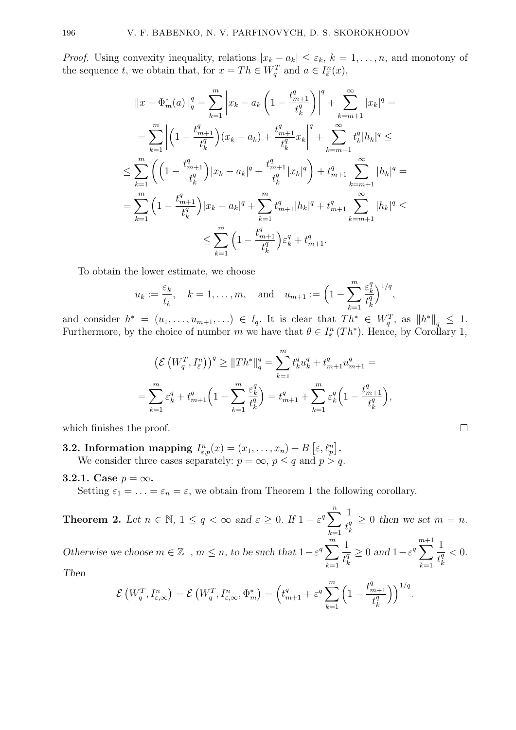*Proof.* Using convexity inequality, relations  $|x_k - a_k| \leq \varepsilon_k$ ,  $k = 1, \ldots, n$ , and monotony of the sequence t, we obtain that, for  $x = Th \in W_q^T$  and  $a \in I_{\bar{\varepsilon}}^n(x)$ ,

$$
||x - \Phi_m^*(a)||_q^q = \sum_{k=1}^m \left| x_k - a_k \left( 1 - \frac{t_{m+1}^q}{t_k^q} \right) \right|^q + \sum_{k=m+1}^\infty |x_k|^q =
$$
  
\n
$$
= \sum_{k=1}^m \left| \left( 1 - \frac{t_{m+1}^q}{t_k^q} \right) (x_k - a_k) + \frac{t_{m+1}^q}{t_k^q} x_k \right|^q + \sum_{k=m+1}^\infty t_k^q |h_k|^q \le
$$
  
\n
$$
\leq \sum_{k=1}^m \left( \left( 1 - \frac{t_{m+1}^q}{t_k^q} \right) |x_k - a_k|^q + \frac{t_{m+1}^q}{t_k^q} |x_k|^q \right) + t_{m+1}^q \sum_{k=m+1}^\infty |h_k|^q =
$$
  
\n
$$
= \sum_{k=1}^m \left( 1 - \frac{t_{m+1}^q}{t_k^q} \right) |x_k - a_k|^q + \sum_{k=1}^m t_{m+1}^q |h_k|^q + t_{m+1}^q \sum_{k=m+1}^\infty |h_k|^q \le
$$
  
\n
$$
\leq \sum_{k=1}^m \left( 1 - \frac{t_{m+1}^q}{t_k^q} \right) \varepsilon_k^q + t_{m+1}^q.
$$

To obtain the lower estimate, we choose

$$
u_k := \frac{\varepsilon_k}{t_k}
$$
,  $k = 1, ..., m$ , and  $u_{m+1} := \left(1 - \sum_{k=1}^m \frac{\varepsilon_k^q}{t_k^q}\right)^{1/q}$ ,

and consider  $h^* = (u_1, \ldots, u_{m+1}, \ldots) \in l_q$ . It is clear that  $Th^* \in W_q^T$ , as  $||h^*||_q \leq 1$ . Furthermore, by the choice of number m we have that  $\theta \in I_{\bar{\varepsilon}}^n(Th^*)$ . Hence, by Corollary 1,

$$
\left(\mathcal{E}\left(W_q^T, I_{\bar{\varepsilon}}^n\right)\right)^q \geq \|Th^*\|_q^q = \sum_{k=1}^m t_k^q u_k^q + t_{m+1}^q u_{m+1}^q =
$$
  

$$
= \sum_{k=1}^m \varepsilon_k^q + t_{m+1}^q \left(1 - \sum_{k=1}^m \frac{\varepsilon_k^q}{t_k^q}\right) = t_{m+1}^q + \sum_{k=1}^m \varepsilon_k^q \left(1 - \frac{t_{m+1}^q}{t_k^q}\right),
$$

which finishes the proof.

- **3.2.** Information mapping  $I_{\varepsilon,p}^n(x) = (x_1, \ldots, x_n) + B\left[\varepsilon, \ell_p^n\right]$ . We consider three cases separately:  $p = \infty$ ,  $p \leq q$  and  $p > q$ .
- 3.2.1. Case  $p = \infty$ .

Setting  $\varepsilon_1 = \ldots = \varepsilon_n = \varepsilon$ , we obtain from Theorem 1 the following corollary.

**Theorem 2.** Let  $n \in \mathbb{N}$ ,  $1 \leq q < \infty$  and  $\varepsilon \geq 0$ . If  $1 - \varepsilon^q \sum_{n=1}^{\infty}$  $k=1$ 1  $\overline{t_k^q}$ k  $\geq 0$  then we set  $m = n$ . Otherwise we choose  $m \in \mathbb{Z}_+$ ,  $m \leq n$ , to be such that  $1 - \varepsilon^q \sum_{m=1}^m$  $k=1$ 1  $\overline{t^q_k}$ k  $\geq 0$  and  $1 - \varepsilon^q$ m $\sum$  $^{+1}$  $k=1$ 1  $\overline{t_k^q}$ k  $< 0.$ 

Then

$$
\mathcal{E}\left(W_q^T, I_{\varepsilon,\infty}^n\right) = \mathcal{E}\left(W_q^T, I_{\varepsilon,\infty}^n, \Phi_m^*\right) = \left(t_{m+1}^q + \varepsilon^q \sum_{k=1}^m \left(1 - \frac{t_{m+1}^q}{t_k^q}\right)\right)^{1/q}
$$

$$
\mathcal{L}_{\mathcal{A}}
$$

.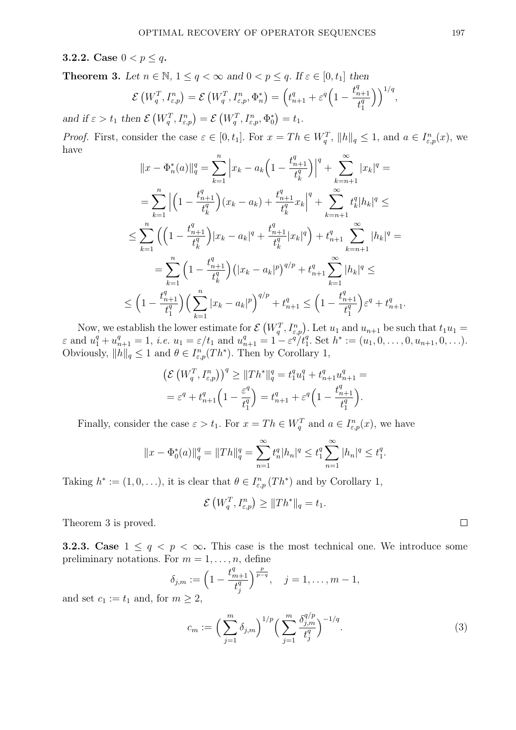## **3.2.2.** Case  $0 < p \leq q$ .

**Theorem 3.** Let  $n \in \mathbb{N}$ ,  $1 \leq q < \infty$  and  $0 < p \leq q$ . If  $\varepsilon \in [0, t_1]$  then

$$
\mathcal{E}\left(W_q^T, I_{\varepsilon,p}^n\right) = \mathcal{E}\left(W_q^T, I_{\varepsilon,p}^n, \Phi_n^*\right) = \left(t_{n+1}^q + \varepsilon^q \left(1 - \frac{t_{n+1}^q}{t_1^q}\right)\right)^{1/q},
$$

and if  $\varepsilon > t_1$  then  $\mathcal{E}(W_q^T, I_{\varepsilon,p}^n) = \mathcal{E}(W_q^T, I_{\varepsilon,p}^n, \Phi_0^*) = t_1$ .

*Proof.* First, consider the case  $\varepsilon \in [0, t_1]$ . For  $x = Th \in W_q^T$ ,  $||h||_q \leq 1$ , and  $a \in I_{\varepsilon,p}^n(x)$ , we have

$$
||x - \Phi_n^*(a)||_q^q = \sum_{k=1}^n \left| x_k - a_k \left( 1 - \frac{t_{n+1}^q}{t_k^q} \right) \right|^q + \sum_{k=n+1}^\infty |x_k|^q =
$$
  
\n
$$
= \sum_{k=1}^n \left| \left( 1 - \frac{t_{n+1}^q}{t_k^q} \right) (x_k - a_k) + \frac{t_{n+1}^q}{t_k^q} x_k \right|^q + \sum_{k=n+1}^\infty t_k^q |h_k|^q \le
$$
  
\n
$$
\leq \sum_{k=1}^n \left( \left( 1 - \frac{t_{n+1}^q}{t_k^q} \right) |x_k - a_k|^q + \frac{t_{n+1}^q}{t_k^q} |x_k|^q \right) + t_{n+1}^q \sum_{k=n+1}^\infty |h_k|^q =
$$
  
\n
$$
= \sum_{k=1}^n \left( 1 - \frac{t_{n+1}^q}{t_k^q} \right) \left( |x_k - a_k|^p \right)^{q/p} + t_{n+1}^q \sum_{k=1}^\infty |h_k|^q \le
$$
  
\n
$$
\leq \left( 1 - \frac{t_{n+1}^q}{t_1^q} \right) \left( \sum_{k=1}^n |x_k - a_k|^p \right)^{q/p} + t_{n+1}^q \leq \left( 1 - \frac{t_{n+1}^q}{t_1^q} \right) \varepsilon^q + t_{n+1}^q.
$$

Now, we establish the lower estimate for  $\mathcal{E}(W_q^T, I_{\varepsilon,p}^n)$ . Let  $u_1$  and  $u_{n+1}$  be such that  $t_1u_1 =$  $\varepsilon$  and  $u_1^q + u_{n+1}^q = 1$ , *i.e.*  $u_1 = \varepsilon/t_1$  and  $u_{n+1}^q = 1 - \varepsilon^q/t_1^q$ . Set  $h^* := (u_1, 0, \ldots, 0, u_{n+1}, 0, \ldots)$ . Obviously,  $||h||_q \leq 1$  and  $\theta \in I^n_{\varepsilon,p}(Th^*)$ . Then by Corollary 1,

$$
\begin{aligned} &\left(\mathcal{E}\left(W_q^T, I_{\varepsilon,p}^n\right)\right)^q \ge \|Th^*\|_q^q = t_1^qu_1^q + t_{n+1}^qu_{n+1}^q = \\ &= \varepsilon^q + t_{n+1}^q \left(1 - \frac{\varepsilon^q}{t_1^q}\right) = t_{n+1}^q + \varepsilon^q \left(1 - \frac{t_{n+1}^q}{t_1^q}\right). \end{aligned}
$$

Finally, consider the case  $\varepsilon > t_1$ . For  $x = Th \in W_q^T$  and  $a \in I_{\varepsilon,p}^n(x)$ , we have

$$
||x - \Phi_0^*(a)||_q^q = ||Th||_q^q = \sum_{n=1}^{\infty} t_n^q |h_n|^q \le t_1^q \sum_{n=1}^{\infty} |h_n|^q \le t_1^q.
$$

Taking  $h^* := (1, 0, \ldots),$  it is clear that  $\theta \in I_{\varepsilon,p}^n(Th^*)$  and by Corollary 1,

$$
\mathcal{E}\left(W_q^T, I_{\varepsilon,p}^n\right) \geq \|Th^*\|_q = t_1.
$$

Theorem 3 is proved.

**3.2.3.** Case  $1 \leq q \leq p \leq \infty$ . This case is the most technical one. We introduce some preliminary notations. For  $m = 1, \ldots, n$ , define

$$
\delta_{j,m} := \left(1 - \frac{t_{m+1}^q}{t_j^q}\right)^{\frac{p}{p-q}}, \quad j = 1, \dots, m-1,
$$

and set  $c_1 := t_1$  and, for  $m \geq 2$ ,

$$
c_m := \left(\sum_{j=1}^m \delta_{j,m}\right)^{1/p} \left(\sum_{j=1}^m \frac{\delta_{j,m}^{q/p}}{t_j^q}\right)^{-1/q}.\tag{3}
$$

 $\Box$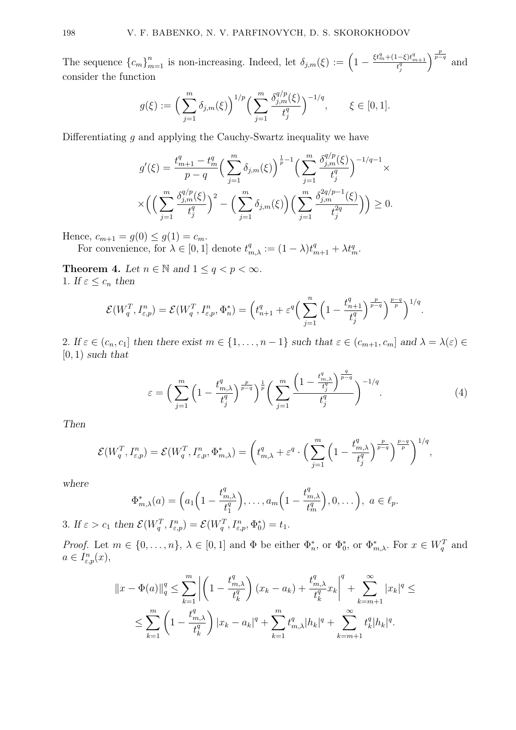The sequence  ${c_m}_{m=1}^n$  is non-increasing. Indeed, let  $\delta_{j,m}(\xi) := \left(1 - \frac{\xi t_m^q + (1-\xi)t_{m+1}^q}{t_j^q}\right)$  $\int^{\frac{p}{p-q}}$  and consider the function

$$
g(\xi) := \left(\sum_{j=1}^m \delta_{j,m}(\xi)\right)^{1/p} \left(\sum_{j=1}^m \frac{\delta_{j,m}^{q/p}(\xi)}{t_j^q}\right)^{-1/q}, \qquad \xi \in [0,1].
$$

Differentiating  $g$  and applying the Cauchy-Swartz inequality we have

$$
g'(\xi) = \frac{t_{m+1}^q - t_m^q}{p - q} \left( \sum_{j=1}^m \delta_{j,m}(\xi) \right)^{\frac{1}{p} - 1} \left( \sum_{j=1}^m \frac{\delta_{j,m}^{q/p}(\xi)}{t_j^q} \right)^{-1/q - 1} \times \left( \left( \sum_{j=1}^m \frac{\delta_{j,m}^{q/p}(\xi)}{t_j^q} \right)^2 - \left( \sum_{j=1}^m \delta_{j,m}(\xi) \right) \left( \sum_{j=1}^m \frac{\delta_{j,m}^{2q/p - 1}(\xi)}{t_j^{2q}} \right) \right) \ge 0.
$$

Hence,  $c_{m+1} = g(0) \le g(1) = c_m$ .

For convenience, for  $\lambda \in [0,1]$  denote  $t_{m,\lambda}^q := (1 - \lambda)t_{m+1}^q + \lambda t_m^q$ .

**Theorem 4.** Let  $n \in \mathbb{N}$  and  $1 \leq q < p < \infty$ . 1. If  $\varepsilon \leq c_n$  then

$$
\mathcal{E}(W_q^T, I_{\varepsilon,p}^n) = \mathcal{E}(W_q^T, I_{\varepsilon,p}^n, \Phi_n^*) = \left(t_{n+1}^q + \varepsilon^q \left(\sum_{j=1}^n \left(1 - \frac{t_{n+1}^q}{t_j^q}\right)^{\frac{p}{p-q}}\right)^{\frac{p-q}{p}}\right)^{1/q}.
$$

2. If  $\varepsilon \in (c_n, c_1]$  then there exist  $m \in \{1, \ldots, n-1\}$  such that  $\varepsilon \in (c_{m+1}, c_m]$  and  $\lambda = \lambda(\varepsilon) \in$  $[0, 1)$  such that

$$
\varepsilon = \left(\sum_{j=1}^{m} \left(1 - \frac{t_{m,\lambda}^q}{t_j^q}\right)^{\frac{p}{p-q}}\right)^{\frac{1}{p}} \left(\sum_{j=1}^{m} \frac{\left(1 - \frac{t_{m,\lambda}^q}{t_j^q}\right)^{\frac{q}{p-q}}}{t_j^q}\right)^{-1/q}.
$$
 (4)

Then

$$
\mathcal{E}(W_q^T, I_{\varepsilon,p}^n) = \mathcal{E}(W_q^T, I_{\varepsilon,p}^n, \Phi_{m,\lambda}^*) = \left(t_{m,\lambda}^q + \varepsilon^q \cdot \Big(\sum_{j=1}^m \Big(1 - \frac{t_{m,\lambda}^q}{t_j^q}\Big)^{\frac{p}{p-q}}\right)^{\frac{p-q}{p}}\right)^{1/q},
$$

where

$$
\Phi_{m,\lambda}^*(a) = \left(a_1\left(1 - \frac{t_{m,\lambda}^q}{t_1^q}\right), \ldots, a_m\left(1 - \frac{t_{m,\lambda}^q}{t_m^q}\right), 0, \ldots\right), \ a \in \ell_p.
$$

3. If  $\varepsilon > c_1$  then  $\mathcal{E}(W_q^T, I_{\varepsilon,p}^n) = \mathcal{E}(W_q^T, I_{\varepsilon,p}^n, \Phi_0^*) = t_1$ .

*Proof.* Let  $m \in \{0, \ldots, n\}$ ,  $\lambda \in [0, 1]$  and  $\Phi$  be either  $\Phi_n^*$ , or  $\Phi_0^*$ , or  $\Phi_{m,\lambda}^*$ . For  $x \in W_q^T$  and  $a \in I^n_{\varepsilon,p}(x),$ 

$$
||x - \Phi(a)||_q^q \le \sum_{k=1}^m \left| \left( 1 - \frac{t_{m,\lambda}^q}{t_k^q} \right) (x_k - a_k) + \frac{t_{m,\lambda}^q}{t_k^q} x_k \right|^q + \sum_{k=m+1}^\infty |x_k|^q \le
$$
  

$$
\le \sum_{k=1}^m \left( 1 - \frac{t_{m,\lambda}^q}{t_k^q} \right) |x_k - a_k|^q + \sum_{k=1}^m t_{m,\lambda}^q |h_k|^q + \sum_{k=m+1}^\infty t_k^q |h_k|^q.
$$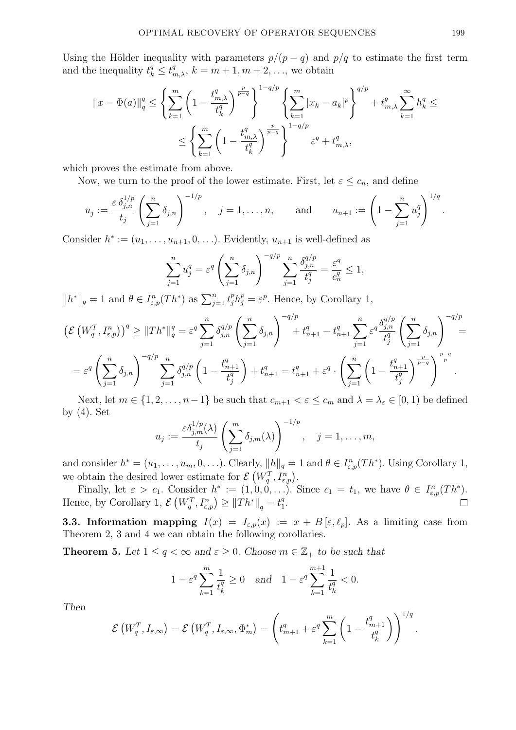Using the Hölder inequality with parameters  $p/(p-q)$  and  $p/q$  to estimate the first term and the inequality  $t_k^q \n\t\leq t_{m,\lambda}^q$ ,  $k = m + 1, m + 2, \ldots$ , we obtain

$$
||x - \Phi(a)||_q^q \le \left\{ \sum_{k=1}^m \left( 1 - \frac{t_{m,\lambda}^q}{t_k^q} \right)^{\frac{p}{p-q}} \right\}^{1 - q/p} \left\{ \sum_{k=1}^m |x_k - a_k|^p \right\}^{q/p} + t_{m,\lambda}^q \sum_{k=1}^\infty h_k^q \le \left\{ \sum_{k=1}^m \left( 1 - \frac{t_{m,\lambda}^q}{t_k^q} \right)^{\frac{p}{p-q}} \right\}^{1 - q/p} \varepsilon^q + t_{m,\lambda}^q,
$$

which proves the estimate from above.

Now, we turn to the proof of the lower estimate. First, let  $\varepsilon \leq c_n$ , and define

$$
u_j := \frac{\varepsilon \, \delta_{j,n}^{1/p}}{t_j} \left( \sum_{j=1}^n \delta_{j,n} \right)^{-1/p}, \quad j = 1, \ldots, n, \quad \text{and} \quad u_{n+1} := \left( 1 - \sum_{j=1}^n u_j^q \right)^{1/q}.
$$

Consider  $h^* := (u_1, \ldots, u_{n+1}, 0, \ldots)$ . Evidently,  $u_{n+1}$  is well-defined as

$$
\sum_{j=1}^{n} u_j^q = \varepsilon^q \left( \sum_{j=1}^{n} \delta_{j,n} \right)^{-q/p} \sum_{j=1}^{n} \frac{\delta_{j,n}^{q/p}}{t_j^q} = \frac{\varepsilon^q}{c_n^q} \le 1,
$$

 $||h^*||_q = 1$  and  $\theta \in I_{\varepsilon,p}^n(Th^*)$  as  $\sum_{j=1}^n t_j^p h_j^p = \varepsilon^p$ . Hence, by Corollary 1,

$$
\left(\mathcal{E}\left(W_q^T, I_{\varepsilon,p}^n\right)\right)^q \geq \|Th^*\|_q^q = \varepsilon^q \sum_{j=1}^n \delta_{j,n}^{q/p} \left(\sum_{j=1}^n \delta_{j,n}\right)^{-q/p} + t_{n+1}^q - t_{n+1}^q \sum_{j=1}^n \varepsilon^q \frac{\delta_{j,n}^{q/p}}{t_j^q} \left(\sum_{j=1}^n \delta_{j,n}\right)^{-q/p} =
$$
  

$$
= \varepsilon^q \left(\sum_{j=1}^n \delta_{j,n}\right)^{-q/p} \sum_{j=1}^n \delta_{j,n}^{q/p} \left(1 - \frac{t_{n+1}^q}{t_j^q}\right) + t_{n+1}^q = t_{n+1}^q + \varepsilon^q \cdot \left(\sum_{j=1}^n \left(1 - \frac{t_{n+1}^q}{t_j^q}\right)^{\frac{p}{p-q}}\right)^{\frac{p}{p}}.
$$

Next, let  $m \in \{1, 2, \ldots, n-1\}$  be such that  $c_{m+1} < \varepsilon \leq c_m$  and  $\lambda = \lambda_{\varepsilon} \in [0, 1)$  be defined by (4). Set

$$
u_j := \frac{\varepsilon \delta_{j,m}^{1/p}(\lambda)}{t_j} \left( \sum_{j=1}^m \delta_{j,m}(\lambda) \right)^{-1/p}, \quad j = 1, \dots, m,
$$

and consider  $h^* = (u_1, \ldots, u_m, 0, \ldots)$ . Clearly,  $||h||_q = 1$  and  $\theta \in I_{\varepsilon,p}^n(Th^*)$ . Using Corollary 1, we obtain the desired lower estimate for  $\mathcal{E}(W_q^T, I_{\varepsilon,p}^n)$ .

Finally, let  $\varepsilon > c_1$ . Consider  $h^* := (1, 0, 0, \ldots)$ . Since  $c_1 = t_1$ , we have  $\theta \in I^n_{\varepsilon, p}(Th^*)$ . Hence, by Corollary 1,  $\mathcal{E}(W_q^T, I_{\varepsilon,p}^n) \geq ||Th^*||_q = t_1^q$  $\frac{q}{1}$ .

**3.3. Information mapping**  $I(x) = I_{\varepsilon,p}(x) := x + B[\varepsilon,\ell_p].$  As a limiting case from Theorem 2, 3 and 4 we can obtain the following corollaries.

**Theorem 5.** Let  $1 \leq q < \infty$  and  $\varepsilon \geq 0$ . Choose  $m \in \mathbb{Z}_+$  to be such that

$$
1 - \varepsilon^q \sum_{k=1}^m \frac{1}{t_k^q} \ge 0
$$
 and  $1 - \varepsilon^q \sum_{k=1}^{m+1} \frac{1}{t_k^q} < 0.$ 

Then

$$
\mathcal{E}\left(W_q^T, I_{\varepsilon,\infty}\right) = \mathcal{E}\left(W_q^T, I_{\varepsilon,\infty}, \Phi_m^*\right) = \left(t_{m+1}^q + \varepsilon^q \sum_{k=1}^m \left(1 - \frac{t_{m+1}^q}{t_k^q}\right)\right)^{1/q}.
$$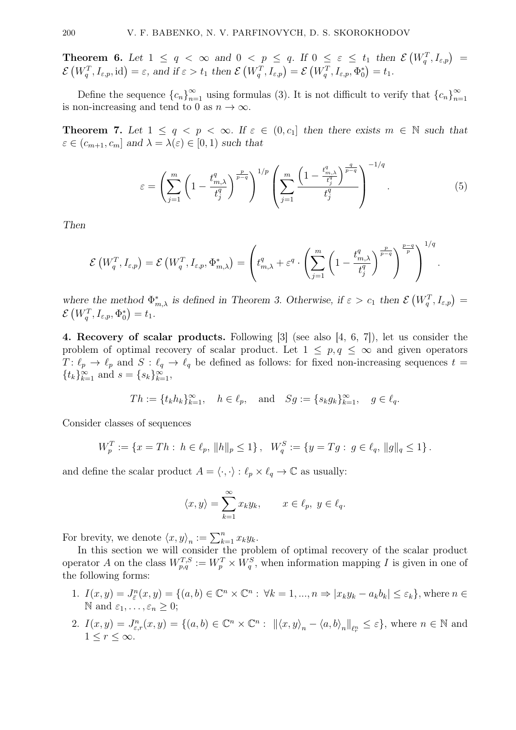**Theorem 6.** Let  $1 \leq q < \infty$  and  $0 < p \leq q$ . If  $0 \leq \varepsilon \leq t_1$  then  $\mathcal{E}(W_q^T, I_{\varepsilon,p}) =$  $\mathcal{E}\left(W_q^T,I_{\varepsilon,p},\text{id}\right)=\varepsilon,\text{ and if }\varepsilon>t_1\text{ then }\mathcal{E}\left(W_q^T,I_{\varepsilon,p}\right)=\mathcal{E}\left(W_q^T,I_{\varepsilon,p},\Phi_0^*\right)=t_1.$ 

Define the sequence  ${c_n}_{n=1}^{\infty}$  using formulas (3). It is not difficult to verify that  ${c_n}_{n=1}^{\infty}$  $n=1$ is non-increasing and tend to 0 as  $n \to \infty$ .

**Theorem 7.** Let  $1 \leq q \leq p \leq \infty$ . If  $\varepsilon \in (0, c_1]$  then there exists  $m \in \mathbb{N}$  such that  $\varepsilon \in (c_{m+1}, c_m]$  and  $\lambda = \lambda(\varepsilon) \in [0, 1)$  such that

$$
\varepsilon = \left(\sum_{j=1}^{m} \left(1 - \frac{t_{m,\lambda}^q}{t_j^q}\right)^{\frac{p}{p-q}}\right)^{1/p} \left(\sum_{j=1}^{m} \frac{\left(1 - \frac{t_{m,\lambda}^q}{t_j^q}\right)^{\frac{q}{p-q}}}{t_j^q}\right)^{-1/q}.
$$
(5)

−1/q

.

Then

$$
\mathcal{E}\left(W_q^T, I_{\varepsilon,p}\right) = \mathcal{E}\left(W_q^T, I_{\varepsilon,p}, \Phi_{m,\lambda}^*\right) = \left(t_{m,\lambda}^q + \varepsilon^q \cdot \left(\sum_{j=1}^m \left(1 - \frac{t_{m,\lambda}^q}{t_j^q}\right)^{\frac{p}{p-q}}\right)^{\frac{p-q}{p}}\right)^{1/q}
$$

where the method  $\Phi_{m,\lambda}^*$  is defined in Theorem 3. Otherwise, if  $\varepsilon > c_1$  then  $\mathcal{E}(W_q^T, I_{\varepsilon,p}) =$  $\mathcal{E}\left(W_q^T,I_{\varepsilon,p},\Phi_0^*\right)=t_1.$ 

4. Recovery of scalar products. Following [3] (see also [4, 6, 7]), let us consider the problem of optimal recovery of scalar product. Let  $1 \leq p, q \leq \infty$  and given operators  $T: \ell_p \to \ell_p$  and  $S: \ell_q \to \ell_q$  be defined as follows: for fixed non-increasing sequences  $t =$  ${t_k}_{k=1}^{\infty}$  and  $s = {s_k}_{k=1}^{\infty}$ ,

$$
Th := \{t_k h_k\}_{k=1}^{\infty}, \quad h \in \ell_p, \quad \text{and} \quad Sg := \{s_k g_k\}_{k=1}^{\infty}, \quad g \in \ell_q.
$$

Consider classes of sequences

$$
W_p^T := \{ x = Th : h \in \ell_p, ||h||_p \le 1 \}, \quad W_q^S := \{ y = Tg : g \in \ell_q, ||g||_q \le 1 \}.
$$

and define the scalar product  $A = \langle \cdot, \cdot \rangle : \ell_p \times \ell_q \to \mathbb{C}$  as usually:

$$
\langle x, y \rangle = \sum_{k=1}^{\infty} x_k y_k, \qquad x \in \ell_p, \ y \in \ell_q.
$$

For brevity, we denote  $\langle x, y \rangle_n := \sum_{k=1}^n x_k y_k$ .

In this section we will consider the problem of optimal recovery of the scalar product operator A on the class  $W_{p,q}^{T,S} := W_p^T \times W_q^S$ , when information mapping I is given in one of the following forms:

- 1.  $I(x,y) = J_{\tilde{\varepsilon}}^n(x,y) = \{(a,b) \in \mathbb{C}^n \times \mathbb{C}^n : \forall k = 1, ..., n \Rightarrow |x_k y_k a_k b_k| \leq \varepsilon_k\}$ , where  $n \in \mathbb{C}^n$ N and  $\varepsilon_1, \ldots, \varepsilon_n > 0$ ;
- 2.  $I(x,y) = J_{\varepsilon,r}^n(x,y) = \{(a,b) \in \mathbb{C}^n \times \mathbb{C}^n : ||\langle x,y \rangle_n \langle a,b \rangle_n||_{\ell_r^n} \leq \varepsilon\}$ , where  $n \in \mathbb{N}$  and  $1 \leq r \leq \infty$ .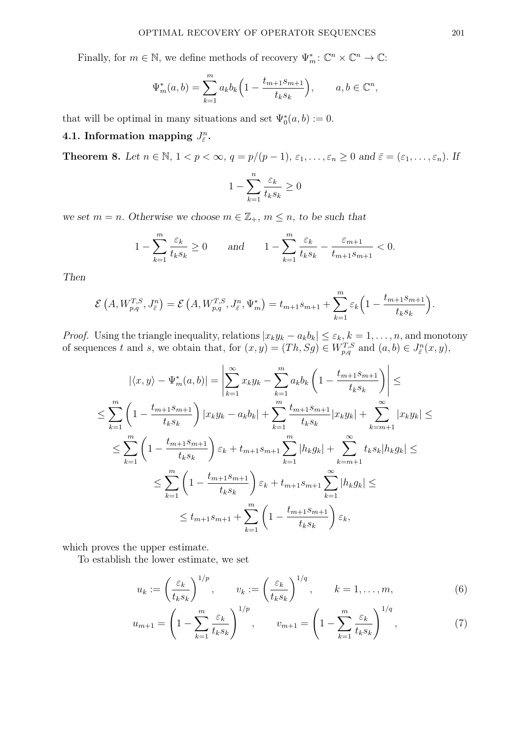Finally, for  $m \in \mathbb{N}$ , we define methods of recovery  $\Psi_m^* \colon \mathbb{C}^n \times \mathbb{C}^n \to \mathbb{C}$ :

$$
\Psi_m^*(a, b) = \sum_{k=1}^m a_k b_k \left( 1 - \frac{t_{m+1} s_{m+1}}{t_k s_k} \right), \qquad a, b \in \mathbb{C}^n,
$$

that will be optimal in many situations and set  $\Psi_0^*(a, b) := 0$ .

# 4.1. Information mapping  $J_{\bar{\varepsilon}}^n$ .

**Theorem 8.** Let  $n \in \mathbb{N}$ ,  $1 < p < \infty$ ,  $q = p/(p-1)$ ,  $\varepsilon_1, \ldots, \varepsilon_n \geq 0$  and  $\bar{\varepsilon} = (\varepsilon_1, \ldots, \varepsilon_n)$ . If

$$
1 - \sum_{k=1}^{n} \frac{\varepsilon_k}{t_k s_k} \ge 0
$$

we set  $m = n$ . Otherwise we choose  $m \in \mathbb{Z}_+$ ,  $m \leq n$ , to be such that

$$
1 - \sum_{k=1}^{m} \frac{\varepsilon_k}{t_k s_k} \ge 0 \quad \text{and} \quad 1 - \sum_{k=1}^{m} \frac{\varepsilon_k}{t_k s_k} - \frac{\varepsilon_{m+1}}{t_{m+1} s_{m+1}} < 0.
$$

Then

$$
\mathcal{E}\left(A, W_{p,q}^{T,S}, J_{\varepsilon}^n\right) = \mathcal{E}\left(A, W_{p,q}^{T,S}, J_{\varepsilon}^n, \Psi_m^*\right) = t_{m+1} s_{m+1} + \sum_{k=1}^m \varepsilon_k \left(1 - \frac{t_{m+1} s_{m+1}}{t_k s_k}\right).
$$

*Proof.* Using the triangle inequality, relations  $|x_ky_k - a_kb_k| \leq \varepsilon_k$ ,  $k = 1, ..., n$ , and monotony of sequences t and s, we obtain that, for  $(x, y) = (Th, Sg) \in W_{p,q}^{T,S}$  and  $(a, b) \in J_{\bar{\varepsilon}}^n(x, y)$ ,

$$
|\langle x, y \rangle - \Psi_m^*(a, b)| = \left| \sum_{k=1}^{\infty} x_k y_k - \sum_{k=1}^m a_k b_k \left( 1 - \frac{t_{m+1} s_{m+1}}{t_k s_k} \right) \right| \le
$$
  
\n
$$
\leq \sum_{k=1}^m \left( 1 - \frac{t_{m+1} s_{m+1}}{t_k s_k} \right) |x_k y_k - a_k b_k| + \sum_{k=1}^m \frac{t_{m+1} s_{m+1}}{t_k s_k} |x_k y_k| + \sum_{k=m+1}^{\infty} |x_k y_k| \le
$$
  
\n
$$
\leq \sum_{k=1}^m \left( 1 - \frac{t_{m+1} s_{m+1}}{t_k s_k} \right) \varepsilon_k + t_{m+1} s_{m+1} \sum_{k=1}^m |h_k g_k| + \sum_{k=m+1}^{\infty} t_k s_k |h_k g_k| \le
$$
  
\n
$$
\leq \sum_{k=1}^m \left( 1 - \frac{t_{m+1} s_{m+1}}{t_k s_k} \right) \varepsilon_k + t_{m+1} s_{m+1} \sum_{k=1}^{\infty} |h_k g_k| \le
$$
  
\n
$$
\leq t_{m+1} s_{m+1} + \sum_{k=1}^m \left( 1 - \frac{t_{m+1} s_{m+1}}{t_k s_k} \right) \varepsilon_k,
$$

which proves the upper estimate.

To establish the lower estimate, we set

$$
u_k := \left(\frac{\varepsilon_k}{t_k s_k}\right)^{1/p}, \qquad v_k := \left(\frac{\varepsilon_k}{t_k s_k}\right)^{1/q}, \qquad k = 1, \dots, m,
$$
 (6)

$$
u_{m+1} = \left(1 - \sum_{k=1}^{m} \frac{\varepsilon_k}{t_k s_k}\right)^{1/p}, \qquad v_{m+1} = \left(1 - \sum_{k=1}^{m} \frac{\varepsilon_k}{t_k s_k}\right)^{1/q}, \tag{7}
$$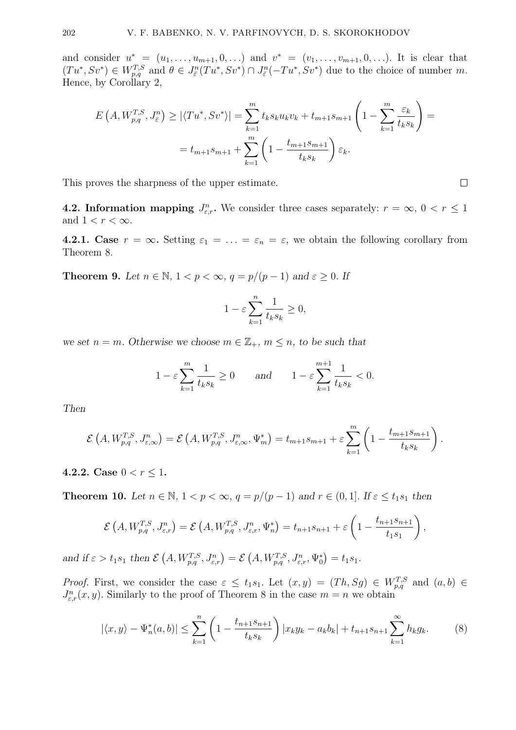and consider  $u^* = (u_1, \ldots, u_{m+1}, 0, \ldots)$  and  $v^* = (v_1, \ldots, v_{m+1}, 0, \ldots)$ . It is clear that  $(Tu^*, Sv^*) \in W_{p,q}^{T,S}$  and  $\theta \in J_{\bar{\varepsilon}}^n(Tu^*, Sv^*) \cap J_{\bar{\varepsilon}}^n(-Tu^*, Sv^*)$  due to the choice of number m. Hence, by Corollary 2,

$$
E\left(A, W_{p,q}^{T,S}, J_{\varepsilon}^{n}\right) \geq |\langle Tu^{*}, Sv^{*} \rangle| = \sum_{k=1}^{m} t_{k} s_{k} u_{k} v_{k} + t_{m+1} s_{m+1} \left(1 - \sum_{k=1}^{m} \frac{\varepsilon_{k}}{t_{k} s_{k}}\right) =
$$
  
=  $t_{m+1} s_{m+1} + \sum_{k=1}^{m} \left(1 - \frac{t_{m+1} s_{m+1}}{t_{k} s_{k}}\right) \varepsilon_{k}.$ 

This proves the sharpness of the upper estimate.

**4.2. Information mapping**  $J_{\varepsilon,r}^n$ . We consider three cases separately:  $r = \infty$ ,  $0 < r \le 1$ and  $1 < r < \infty$ .

**4.2.1.** Case  $r = \infty$ . Setting  $\varepsilon_1 = \ldots = \varepsilon_n = \varepsilon$ , we obtain the following corollary from Theorem 8.

**Theorem 9.** Let  $n \in \mathbb{N}$ ,  $1 < p < \infty$ ,  $q = p/(p-1)$  and  $\varepsilon \ge 0$ . If

$$
1 - \varepsilon \sum_{k=1}^{n} \frac{1}{t_k s_k} \ge 0,
$$

we set  $n = m$ . Otherwise we choose  $m \in \mathbb{Z}_+$ ,  $m \leq n$ , to be such that

$$
1 - \varepsilon \sum_{k=1}^{m} \frac{1}{t_k s_k} \ge 0 \quad \text{and} \quad 1 - \varepsilon \sum_{k=1}^{m+1} \frac{1}{t_k s_k} < 0.
$$

Then

$$
\mathcal{E}\left(A, W_{p,q}^{T,S}, J_{\varepsilon,\infty}^n\right) = \mathcal{E}\left(A, W_{p,q}^{T,S}, J_{\varepsilon,\infty}^n, \Psi_m^*\right) = t_{m+1} s_{m+1} + \varepsilon \sum_{k=1}^m \left(1 - \frac{t_{m+1} s_{m+1}}{t_k s_k}\right).
$$

4.2.2. Case  $0 < r \leq 1$ .

**Theorem 10.** Let  $n \in \mathbb{N}$ ,  $1 < p < \infty$ ,  $q = p/(p-1)$  and  $r \in (0,1]$ . If  $\varepsilon \le t_1 s_1$  then

$$
\mathcal{E}\left(A, W_{p,q}^{T,S}, J_{\varepsilon,r}^n\right) = \mathcal{E}\left(A, W_{p,q}^{T,S}, J_{\varepsilon,r}^n, \Psi_n^*\right) = t_{n+1}s_{n+1} + \varepsilon\left(1 - \frac{t_{n+1}s_{n+1}}{t_1s_1}\right),
$$

and if  $\varepsilon > t_1 s_1$  then  $\mathcal{E}(A, W_{p,q}^{T,S}, J_{\varepsilon,r}^n) = \mathcal{E}(A, W_{p,q}^{T,S}, J_{\varepsilon,r}^n, \Psi_0^*) = t_1 s_1$ .

*Proof.* First, we consider the case  $\varepsilon \leq t_1 s_1$ . Let  $(x, y) = (Th, Sg) \in W_{p,q}^{T,S}$  and  $(a, b) \in$  $J_{\varepsilon,r}^n(x,y)$ . Similarly to the proof of Theorem 8 in the case  $m = n$  we obtain

$$
|\langle x, y \rangle - \Psi_n^*(a, b)| \le \sum_{k=1}^n \left( 1 - \frac{t_{n+1} s_{n+1}}{t_k s_k} \right) |x_k y_k - a_k b_k| + t_{n+1} s_{n+1} \sum_{k=1}^\infty h_k g_k. \tag{8}
$$

 $\Box$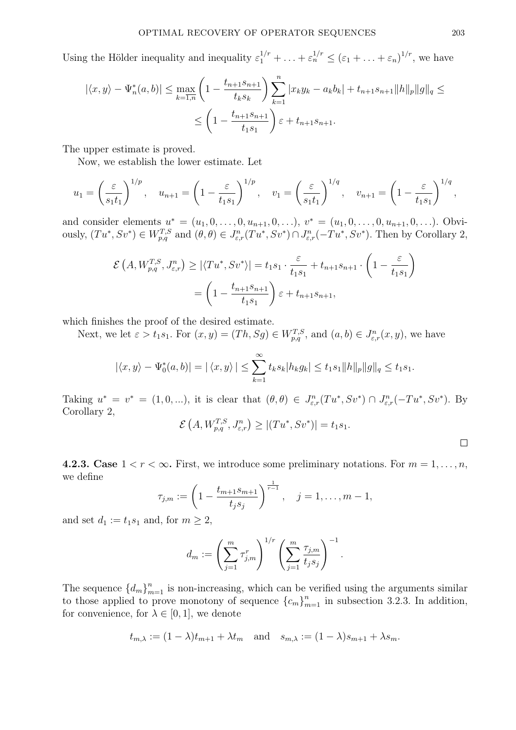Using the Hölder inequality and inequality  $\varepsilon_1^{1/r} + \ldots + \varepsilon_n^{1/r} \leq (\varepsilon_1 + \ldots + \varepsilon_n)^{1/r}$ , we have

$$
|\langle x, y \rangle - \Psi_n^*(a, b)| \le \max_{k=1, n} \left( 1 - \frac{t_{n+1} s_{n+1}}{t_k s_k} \right) \sum_{k=1}^n |x_k y_k - a_k b_k| + t_{n+1} s_{n+1} ||h||_p ||g||_q \le
$$
  

$$
\le \left( 1 - \frac{t_{n+1} s_{n+1}}{t_1 s_1} \right) \varepsilon + t_{n+1} s_{n+1}.
$$

The upper estimate is proved.

Now, we establish the lower estimate. Let

$$
u_1 = \left(\frac{\varepsilon}{s_1 t_1}\right)^{1/p}, \quad u_{n+1} = \left(1 - \frac{\varepsilon}{t_1 s_1}\right)^{1/p}, \quad v_1 = \left(\frac{\varepsilon}{s_1 t_1}\right)^{1/q}, \quad v_{n+1} = \left(1 - \frac{\varepsilon}{t_1 s_1}\right)^{1/q},
$$

and consider elements  $u^* = (u_1, 0, \ldots, 0, u_{n+1}, 0, \ldots), v^* = (u_1, 0, \ldots, 0, u_{n+1}, 0, \ldots)$ . Obviously,  $(Tu^*, Sv^*) \in W_{p,q}^{T,S}$  and  $(\theta, \theta) \in J_{\varepsilon,r}^n(Tu^*, Sv^*) \cap J_{\varepsilon,r}^n(-Tu^*, Sv^*)$ . Then by Corollary 2,

$$
\mathcal{E}\left(A, W_{p,q}^{T,S}, J_{\varepsilon,r}^n\right) \ge |\langle Tu^*, Sv^* \rangle| = t_1 s_1 \cdot \frac{\varepsilon}{t_1 s_1} + t_{n+1} s_{n+1} \cdot \left(1 - \frac{\varepsilon}{t_1 s_1}\right)
$$

$$
= \left(1 - \frac{t_{n+1} s_{n+1}}{t_1 s_1}\right) \varepsilon + t_{n+1} s_{n+1},
$$

which finishes the proof of the desired estimate.

Next, we let  $\varepsilon > t_1 s_1$ . For  $(x, y) = (Th, Sg) \in W_{p,q}^{T,S}$ , and  $(a, b) \in J_{\varepsilon,r}^n(x, y)$ , we have

$$
|\langle x, y \rangle - \Psi_0^*(a, b)| = |\langle x, y \rangle| \le \sum_{k=1}^{\infty} t_k s_k |h_k g_k| \le t_1 s_1 ||h||_p ||g||_q \le t_1 s_1.
$$

Taking  $u^* = v^* = (1, 0, \ldots),$  it is clear that  $(\theta, \theta) \in J^n_{\varepsilon,r}(Tu^*, Sv^*) \cap J^n_{\varepsilon,r}(-Tu^*, Sv^*)$ . By Corollary 2,

$$
\mathcal{E}\left(A, W_{p,q}^{T,S}, J_{\varepsilon,r}^n\right) \geq \left|\left(Tu^*, S v^*\right)\right| = t_1 s_1.
$$

4.2.3. Case  $1 < r < \infty$ . First, we introduce some preliminary notations. For  $m = 1, \ldots, n$ , we define

$$
\tau_{j,m} := \left(1 - \frac{t_{m+1} s_{m+1}}{t_j s_j}\right)^{\frac{1}{r-1}}, \quad j = 1, \ldots, m-1,
$$

and set  $d_1 := t_1 s_1$  and, for  $m \geq 2$ ,

$$
d_m := \left(\sum_{j=1}^m \tau_{j,m}^r\right)^{1/r} \left(\sum_{j=1}^m \frac{\tau_{j,m}}{t_j s_j}\right)^{-1}.
$$

The sequence  ${d_m}_{m=1}^n$  is non-increasing, which can be verified using the arguments similar to those applied to prove monotony of sequence  ${c_m}_{m=1}^n$  in subsection 3.2.3. In addition, for convenience, for  $\lambda \in [0, 1]$ , we denote

$$
t_{m,\lambda} := (1 - \lambda)t_{m+1} + \lambda t_m
$$
 and  $s_{m,\lambda} := (1 - \lambda)s_{m+1} + \lambda s_m$ .

 $\Box$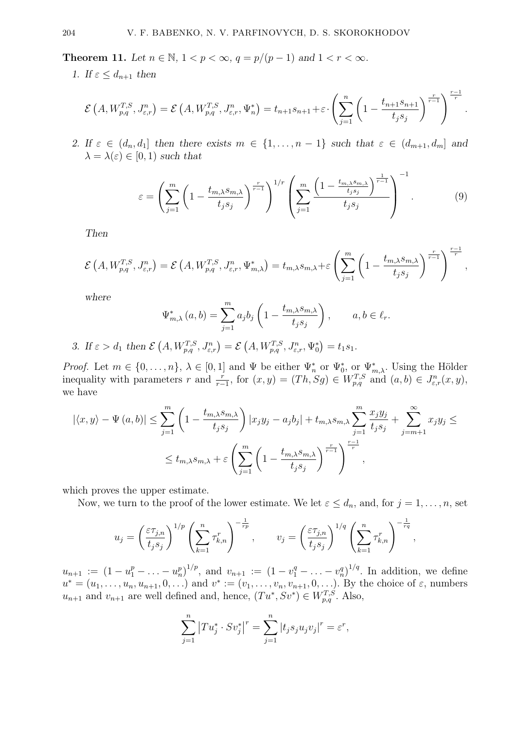Theorem 11. Let  $n \in \mathbb{N}$ ,  $1 < p < \infty$ ,  $q = p/(p-1)$  and  $1 < r < \infty$ .

1. If  $\varepsilon \leq d_{n+1}$  then

$$
\mathcal{E}\left(A, W_{p,q}^{T,S}, J_{\varepsilon,r}^n\right) = \mathcal{E}\left(A, W_{p,q}^{T,S}, J_{\varepsilon,r}^n, \Psi_n^*\right) = t_{n+1}s_{n+1} + \varepsilon \cdot \left(\sum_{j=1}^n \left(1 - \frac{t_{n+1}s_{n+1}}{t_j s_j}\right)^{\frac{r}{r-1}}\right)^{\frac{r-1}{r}}.
$$

2. If  $\varepsilon \in (d_n, d_1]$  then there exists  $m \in \{1, \ldots, n-1\}$  such that  $\varepsilon \in (d_{m+1}, d_m]$  and  $\lambda = \lambda(\varepsilon) \in [0,1)$  such that

$$
\varepsilon = \left(\sum_{j=1}^{m} \left(1 - \frac{t_{m,\lambda} s_{m,\lambda}}{t_j s_j}\right)^{\frac{r}{r-1}}\right)^{1/r} \left(\sum_{j=1}^{m} \frac{\left(1 - \frac{t_{m,\lambda} s_{m,\lambda}}{t_j s_j}\right)^{\frac{1}{r-1}}}{t_j s_j}\right)^{-1}.
$$
(9)

Then

$$
\mathcal{E}\left(A, W_{p,q}^{T,S}, J_{\varepsilon,r}^n\right) = \mathcal{E}\left(A, W_{p,q}^{T,S}, J_{\varepsilon,r}^n, \Psi_{m,\lambda}^*\right) = t_{m,\lambda} s_{m,\lambda} + \varepsilon \left(\sum_{j=1}^m \left(1 - \frac{t_{m,\lambda} s_{m,\lambda}}{t_j s_j}\right)^{\frac{r}{r-1}}\right)^{\frac{r-1}{r}},
$$

where

$$
\Psi_{m,\lambda}^*(a,b) = \sum_{j=1}^m a_j b_j \left( 1 - \frac{t_{m,\lambda} s_{m,\lambda}}{t_j s_j} \right), \qquad a, b \in \ell_r.
$$

3. If  $\varepsilon > d_1$  then  $\mathcal{E}(A, W_{p,q}^{T,S}, J_{\varepsilon,r}^n) = \mathcal{E}(A, W_{p,q}^{T,S}, J_{\varepsilon,r}^n, \Psi_0^*) = t_1 s_1$ .

*Proof.* Let  $m \in \{0, \ldots, n\}$ ,  $\lambda \in [0, 1]$  and  $\Psi$  be either  $\Psi_n^*$  or  $\Psi_0^*$ , or  $\Psi_{m,\lambda}^*$ . Using the Hölder inequality with parameters r and  $\frac{r}{r-1}$ , for  $(x, y) = (Th, Sg) \in W_{p,q}^{T,S}$  and  $(a, b) \in J_{\varepsilon,r}^n(x, y)$ , we have

$$
|\langle x, y \rangle - \Psi(a, b)| \le \sum_{j=1}^{m} \left( 1 - \frac{t_{m,\lambda} s_{m,\lambda}}{t_j s_j} \right) |x_j y_j - a_j b_j| + t_{m,\lambda} s_{m,\lambda} \sum_{j=1}^{m} \frac{x_j y_j}{t_j s_j} + \sum_{j=m+1}^{\infty} x_j y_j \le
$$
  

$$
\le t_{m,\lambda} s_{m,\lambda} + \varepsilon \left( \sum_{j=1}^{m} \left( 1 - \frac{t_{m,\lambda} s_{m,\lambda}}{t_j s_j} \right)^{\frac{r}{r-1}} \right)^{\frac{r-1}{r}},
$$

which proves the upper estimate.

Now, we turn to the proof of the lower estimate. We let  $\varepsilon \leq d_n$ , and, for  $j = 1, \ldots, n$ , set

$$
u_j = \left(\frac{\varepsilon \tau_{j,n}}{t_j s_j}\right)^{1/p} \left(\sum_{k=1}^n \tau_{k,n}^r\right)^{-\frac{1}{rp}}, \qquad v_j = \left(\frac{\varepsilon \tau_{j,n}}{t_j s_j}\right)^{1/q} \left(\sum_{k=1}^n \tau_{k,n}^r\right)^{-\frac{1}{rq}},
$$

 $u_{n+1} := (1 - u_1^p - \ldots - u_n^p)^{1/p}$ , and  $v_{n+1} := (1 - v_1^q - \ldots - v_n^q)^{1/q}$ . In addition, we define  $u^* = (u_1, \ldots, u_n, u_{n+1}, 0, \ldots)$  and  $v^* := (v_1, \ldots, v_n, v_{n+1}, 0, \ldots)$ . By the choice of  $\varepsilon$ , numbers  $u_{n+1}$  and  $v_{n+1}$  are well defined and, hence,  $(Tu^*, Sv^*) \in W_{p,q}^{T,S}$ . Also,

$$
\sum_{j=1}^{n} |Tu_{j}^{*} \cdot Sv_{j}^{*}|^{r} = \sum_{j=1}^{n} |t_{j}s_{j}u_{j}v_{j}|^{r} = \varepsilon^{r},
$$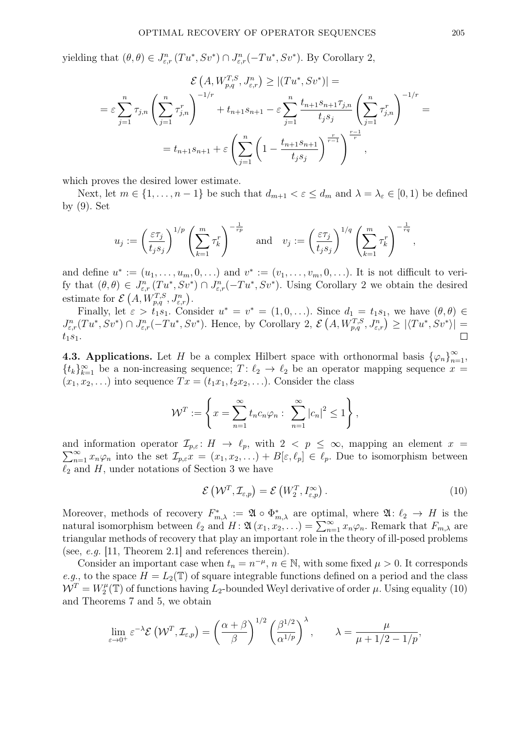yielding that  $(\theta, \theta) \in J^n_{\varepsilon,r} (Tu^*, Sv^*) \cap J^n_{\varepsilon,r} (-Tu^*, Sv^*)$ . By Corollary 2,

$$
\mathcal{E}\left(A, W_{p,q}^{T,S}, J_{\varepsilon,r}^{n}\right) \geq |(Tu^{*}, Sv^{*})| =
$$
\n
$$
= \varepsilon \sum_{j=1}^{n} \tau_{j,n} \left(\sum_{j=1}^{n} \tau_{j,n}^{r}\right)^{-1/r} + t_{n+1} s_{n+1} - \varepsilon \sum_{j=1}^{n} \frac{t_{n+1} s_{n+1} \tau_{j,n}}{t_{j} s_{j}} \left(\sum_{j=1}^{n} \tau_{j,n}^{r}\right)^{-1/r} =
$$
\n
$$
= t_{n+1} s_{n+1} + \varepsilon \left(\sum_{j=1}^{n} \left(1 - \frac{t_{n+1} s_{n+1}}{t_{j} s_{j}}\right)^{\frac{r}{r-1}}\right)^{\frac{r-1}{r}},
$$

which proves the desired lower estimate.

Next, let  $m \in \{1, \ldots, n-1\}$  be such that  $d_{m+1} < \varepsilon \leq d_m$  and  $\lambda = \lambda_{\varepsilon} \in [0,1)$  be defined by (9). Set

$$
u_j := \left(\frac{\varepsilon \tau_j}{t_j s_j}\right)^{1/p} \left(\sum_{k=1}^m \tau_k^r\right)^{-\frac{1}{rp}} \quad \text{and} \quad v_j := \left(\frac{\varepsilon \tau_j}{t_j s_j}\right)^{1/q} \left(\sum_{k=1}^m \tau_k^r\right)^{-\frac{1}{rq}},
$$

and define  $u^* := (u_1, \ldots, u_m, 0, \ldots)$  and  $v^* := (v_1, \ldots, v_m, 0, \ldots)$ . It is not difficult to verify that  $(\theta, \theta) \in J^n_{\varepsilon,r}(Tu^*, Sv^*) \cap J^n_{\varepsilon,r}(-Tu^*, Sv^*)$ . Using Corollary 2 we obtain the desired estimate for  $\mathcal{E}(A, W_{p,q}^{T,S}, J_{\varepsilon,r}^n)$ .

Finally, let  $\varepsilon > t_1 s_1$ . Consider  $u^* = v^* = (1, 0, \ldots)$ . Since  $d_1 = t_1 s_1$ , we have  $(\theta, \theta) \in$  $J^n_{\varepsilon,r}(Tu^*,Sv^*)\cap J^n_{\varepsilon,r}(-Tu^*,Sv^*)$ . Hence, by Corollary 2,  $\mathcal{E}(A,W^{T,S}_{p,q},J^n_{\varepsilon,r})\geq |\langle Tu^*,Sv^*\rangle|=$  $\Box$  $t_1s_1.$ 

**4.3. Applications.** Let H be a complex Hilbert space with orthonormal basis  $\{\varphi_n\}_{n=1}^{\infty}$ ,  $\{t_k\}_{k=1}^{\infty}$  be a non-increasing sequence;  $T: \ell_2 \to \ell_2$  be an operator mapping sequence  $x =$  $(x_1, x_2, \ldots)$  into sequence  $Tx = (t_1x_1, t_2x_2, \ldots)$ . Consider the class

$$
\mathcal{W}^T := \left\{ x = \sum_{n=1}^{\infty} t_n c_n \varphi_n : \sum_{n=1}^{\infty} |c_n|^2 \le 1 \right\},\,
$$

 $\sum_{n=1}^{\infty} x_n \varphi_n$  into the set  $\mathcal{I}_{p,\varepsilon}$   $\mathcal{I} = (x_1, x_2, \ldots) + B[\varepsilon, \ell_p] \in \ell_p$ . Due to isomorphism between and information operator  $\mathcal{I}_{p,\varepsilon} : H \to \ell_p$ , with  $2 < p \leq \infty$ , mapping an element  $x =$  $\ell_2$  and H, under notations of Section 3 we have

$$
\mathcal{E}\left(\mathcal{W}^T,\mathcal{I}_{\varepsilon,p}\right)=\mathcal{E}\left(W_2^T,I_{\varepsilon,p}^{\infty}\right).
$$
\n(10)

Moreover, methods of recovery  $F_{m,\lambda}^* := \mathfrak{A} \circ \Phi_{m,\lambda}^*$  are optimal, where  $\mathfrak{A} : \ell_2 \to H$  is the natural isomorphism between  $\ell_2$  and  $H : \mathfrak{A} (x_1, x_2, \ldots) = \sum_{n=1}^{\infty} x_n \varphi_n$ . Remark that  $F_{m,\lambda}$  are triangular methods of recovery that play an important role in the theory of ill-posed problems (see, e.g. [11, Theorem 2.1] and references therein).

Consider an important case when  $t_n = n^{-\mu}$ ,  $n \in \mathbb{N}$ , with some fixed  $\mu > 0$ . It corresponds e.g., to the space  $H = L_2(\mathbb{T})$  of square integrable functions defined on a period and the class  $\mathcal{W}^T = W_2^\mu$  $Z_2^{\mu}(\mathbb{T})$  of functions having  $L_2$ -bounded Weyl derivative of order  $\mu$ . Using equality (10) and Theorems 7 and 5, we obtain

$$
\lim_{\varepsilon \to 0^+} \varepsilon^{-\lambda} \mathcal{E} \left( \mathcal{W}^T, \mathcal{I}_{\varepsilon, p} \right) = \left( \frac{\alpha + \beta}{\beta} \right)^{1/2} \left( \frac{\beta^{1/2}}{\alpha^{1/p}} \right)^{\lambda}, \qquad \lambda = \frac{\mu}{\mu + 1/2 - 1/p},
$$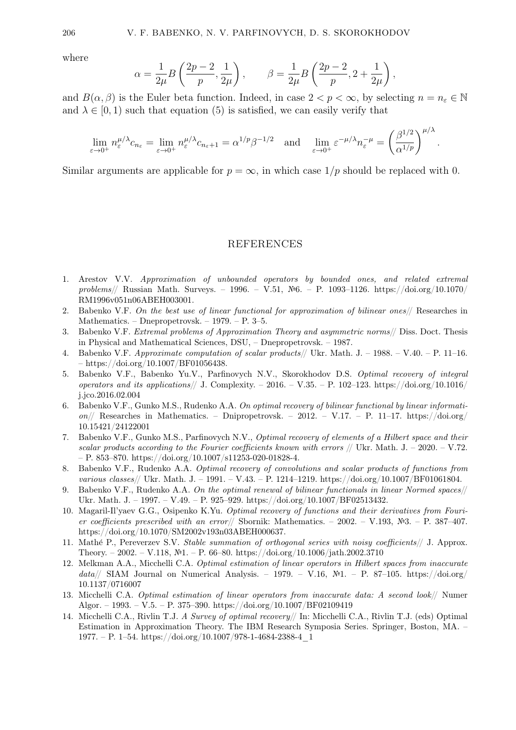where

$$
\alpha = \frac{1}{2\mu} B\left(\frac{2p-2}{p}, \frac{1}{2\mu}\right), \qquad \beta = \frac{1}{2\mu} B\left(\frac{2p-2}{p}, 2 + \frac{1}{2\mu}\right),
$$

and  $B(\alpha, \beta)$  is the Euler beta function. Indeed, in case  $2 < p < \infty$ , by selecting  $n = n_{\varepsilon} \in \mathbb{N}$ and  $\lambda \in [0, 1)$  such that equation (5) is satisfied, we can easily verify that

$$
\lim_{\varepsilon \to 0^+} n_{\varepsilon}^{\mu/\lambda} c_{n_{\varepsilon}} = \lim_{\varepsilon \to 0^+} n_{\varepsilon}^{\mu/\lambda} c_{n_{\varepsilon}+1} = \alpha^{1/p} \beta^{-1/2} \quad \text{and} \quad \lim_{\varepsilon \to 0^+} \varepsilon^{-\mu/\lambda} n_{\varepsilon}^{-\mu} = \left(\frac{\beta^{1/2}}{\alpha^{1/p}}\right)^{\mu/\lambda}.
$$

Similar arguments are applicable for  $p = \infty$ , in which case  $1/p$  should be replaced with 0.

## REFERENCES

- 1. Arestov V.V. Approximation of unbounded operators by bounded ones, and related extremal problems// Russian Math. Surveys. – 1996. – V.51, №6. – P. 1093–1126. https://doi.org/10.1070/ RM1996v051n06ABEH003001.
- 2. Babenko V.F. On the best use of linear functional for approximation of bilinear ones// Researches in Mathematics. – Dnepropetrovsk. – 1979. – P. 3–5.
- 3. Babenko V.F. Extremal problems of Approximation Theory and asymmetric norms// Diss. Doct. Thesis in Physical and Mathematical Sciences, DSU, – Dnepropetrovsk. – 1987.
- 4. Babenko V.F. Approximate computation of scalar products// Ukr. Math. J. 1988. V.40. P. 11–16. – https://doi.org/10.1007/BF01056438.
- 5. Babenko V.F., Babenko Yu.V., Parfinovych N.V., Skorokhodov D.S. Optimal recovery of integral operators and its applications// J. Complexity. – 2016. – V.35. – P. 102–123. https://doi.org/10.1016/ j.jco.2016.02.004
- 6. Babenko V.F., Gunko M.S., Rudenko A.A. On optimal recovery of bilinear functional by linear information// Researches in Mathematics. – Dnipropetrovsk. – 2012. – V.17. – P. 11–17. https://doi.org/ 10.15421/24122001
- 7. Babenko V.F., Gunko M.S., Parfinovych N.V., Optimal recovery of elements of a Hilbert space and their scalar products according to the Fourier coefficients known with errors  $//$  Ukr. Math. J. – 2020. – V.72. – P. 853–870. https://doi.org/10.1007/s11253-020-01828-4.
- 8. Babenko V.F., Rudenko A.A. Optimal recovery of convolutions and scalar products of functions from various classes// Ukr. Math. J. – 1991. – V.43. – P. 1214–1219. https://doi.org/10.1007/BF01061804.
- 9. Babenko V.F., Rudenko A.A. On the optimal renewal of bilinear functionals in linear Normed spaces// Ukr. Math. J. – 1997. – V.49. – P. 925–929. https://doi.org/10.1007/BF02513432.
- 10. Magaril-Il'yaev G.G., Osipenko K.Yu. Optimal recovery of functions and their derivatives from Fourier coefficients prescribed with an error// Sbornik: Mathematics. – 2002. – V.193, №3. – P. 387–407. https://doi.org/10.1070/SM2002v193n03ABEH000637.
- 11. Mathé P., Pereverzev S.V. Stable summation of orthogonal series with noisy coefficients// J. Approx. Theory. – 2002. – V.118, №1. – P. 66–80. https://doi.org/10.1006/jath.2002.3710
- 12. Melkman A.A., Micchelli C.A. Optimal estimation of linear operators in Hilbert spaces from inaccurate  $data//$  SIAM Journal on Numerical Analysis. – 1979. – V.16, №1. – P. 87–105. https://doi.org/ 10.1137/0716007
- 13. Micchelli C.A. Optimal estimation of linear operators from inaccurate data: A second look// Numer Algor. – 1993. – V.5. – P. 375–390. https://doi.org/10.1007/BF02109419
- 14. Micchelli C.A., Rivlin T.J. A Survey of optimal recovery// In: Micchelli C.A., Rivlin T.J. (eds) Optimal Estimation in Approximation Theory. The IBM Research Symposia Series. Springer, Boston, MA. – 1977. – P. 1–54. https://doi.org/10.1007/978-1-4684-2388-4 $1$